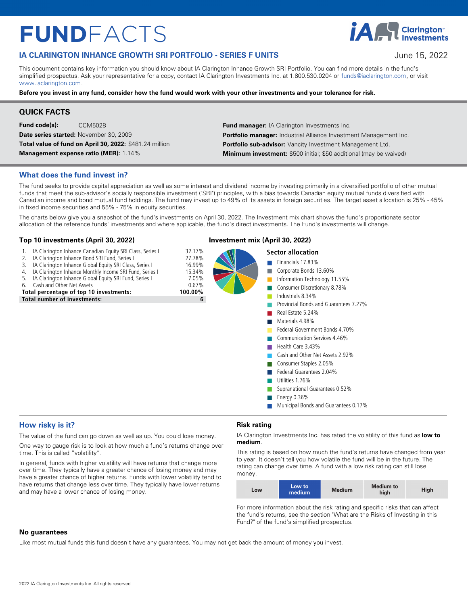# $FUNDFACTS$

## **IA CLARINGTON INHANCE GROWTH SRI PORTFOLIO - SERIES F UNITS THE STATE STATE STATE STATE STATE STATE STATE STATE**

**IA H** Clarington<sup>®</sup>

This document contains key information you should know about IA Clarington Inhance Growth SRI Portfolio. You can find more details in the fund's simplified prospectus. Ask your representative for a copy, contact IA Clarington Investments Inc. at 1.800.530.0204 or funds@iaclarington.com, or visit www.jaclarington.com

**Before you invest in any fund, consider how the fund would work with your other investments and your tolerance for risk.** 

## **QUICK FACTS**

**Fund code(s):** CCM5028 **Date series started:** November 30, 2009 **Total value of fund on April 30, 2022:** \$481.24 million

**Management expense ratio (MER):** 1.14%

**Fund manager:** IA Clarington Investments Inc. Portfolio manager: Industrial Alliance Investment Management Inc. Portfolio sub-advisor: Vancity Investment Management Ltd. **Minimum investment:** \$500 initial; \$50 additional (may be waived)

## **What does the fund invest in?**

The fund seeks to provide capital appreciation as well as some interest and dividend income by investing primarily in a diversified portfolio of other mutual funds that meet the sub-advisor's socially responsible investment ("SRI") principles, with a bias towards Canadian equity mutual funds diversified with Canadian income and bond mutual fund holdings. The fund may invest up to 49% of its assets in foreign securities. The target asset allocation is 25% - 45% in fixed income securities and 55% - 75% in equity securities.

The charts below give you a snapshot of the fund's investments on April 30, 2022. The Investment mix chart shows the fund's proportionate sector allocation of the reference funds' investments and where applicable, the fund's direct investments. The Fund's investments will change.

#### **Top 10 investments (April 30, 2022) Investment mix (April 30, 2022)**

- 
- 1. IA Clarington Inhance Canadian Equity SRI Class, Series I 32.17%<br>2. IA Clarington Inhance Bond SRI Fund. Series I 37.78%
- 2. IA Clarington Inhance Bond SRI Fund, Series I 27.78%<br>3. IA Clarington Inhance Global Equity SRI Class. Series I 27.78%
- 3. IA Clarington Inhance Global Equity SRI Class, Series I 16.99%<br>4. IA Clarington Inhance Monthly Income SRI Fund, Series I 15.34%
- 4. IA Clarington Inhance Monthly Income SRI Fund, Series I 15.34%<br>5. IA Clarington Inhance Global Equity SRI Fund, Series I 15.34% IA Clarington Inhance Global Equity SRI Fund, Series I 7.05%<br>Cash and Other Net Assets 6.67%
- 

6. Cash and Other Net Assets 0.67% 0.67% 0.67%

**Total number of investments: 100.000 investments: 100.000 investments: 100.000 investments: 100.000 investments: 100.000 investments: 100.000 investments: 100.000 investments: 100.000 investments: 100.000 investments: 100 Total number of investments: 6**<br> **Total number of investments: 6**<br> **Total number of investments: 6**<br> **Total number of investments: 6**<br> **Total number of investments: 6**<br> **Total number of investments: 6**<br> **Total number of i** 

## **Sector allocation Section** Financials 17.83%

- nnn
	- Consumer Discretionary 8.78%

Corporate Bonds 13.60%

Information Technology 11.55%

- Industrials 8.34%
- Provincial Bonds and Guarantees 7.27%
- nReal Estate 5.24%
- Materials 4.98%
- Federal Government Bonds 4.70%
- Communication Services 4.46%
- Health Care 3.43%
- Cash and Other Net Assets 2.92%
- Consumer Staples 2.05%
- **n** Federal Guarantees 2.04%
- Utilities 1.76%
- nSupranational Guarantees 0.52%
- nEnergy 0.36%
- nMunicipal Bonds and Guarantees 0.17%

## **How risky is it?**

The value of the fund can go down as well as up. You could lose money.

One way to gauge risk is to look at how much a fund's returns change over time. This is called "volatility".

In general, funds with higher volatility will have returns that change more over time. They typically have a greater chance of losing money and may have a greater chance of higher returns. Funds with lower volatility tend to have returns that change less over time. They typically have lower returns and may have a lower chance of losing money.

## **Risk rating**

IA Clarington Investments Inc. has rated the volatility of this fund as **low to medium** .

This rating is based on how much the fund's returns have changed from year to year. It doesn't tell you how volatile the fund will be in the future. The rating can change over time. A fund with a low risk rating can still lose money.

| <b>LOW</b> | Low to<br>medium | <b>Medium</b> | <b>Medium to</b><br>high | High |
|------------|------------------|---------------|--------------------------|------|
|------------|------------------|---------------|--------------------------|------|

For more information about the risk rating and specific risks that can affect the fund's returns, see the section "What are the Risks of Investing in this Fund?" of the fund's simplified prospectus.

#### **No guarantees**

Like most mutual funds this fund doesn't have any guarantees. You may not get back the amount of money you invest.

nnnn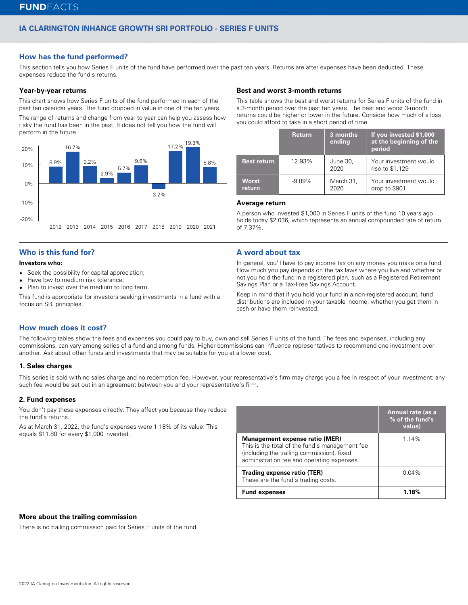## **IA CLARINGTON INHANCE GROWTH SRI PORTFOLIO - SERIES F UNITS**

## **How has the fund performed?**

This section tells you how Series F units of the fund have performed over the past ten years. Returns are after expenses have been deducted. These expenses reduce the fund's returns.

#### **Year-by-year returns**

This chart shows how Series F units of the fund performed in each of the past ten calendar years. The fund dropped in value in one of the ten years.

The range of returns and change from year to year can help you assess how risky the fund has been in the past. It does not tell you how the fund will perform in the future.



## **Who is this fund for?**

#### **Investors who:**

- $\bullet$ Seek the possibility for capital appreciation;
- $\bullet$ Have low to medium risk tolerance;
- Plan to invest over the medium to long term.

This fund is appropriate for investors seeking investments in a fund with a focus on SRI principles.

#### **Best and worst 3-month returns**

This table shows the best and worst returns for Series F units of the fund in a 3-month period over the past ten years. The best and worst 3-month returns could be higher or lower in the future. Consider how much of a loss you could afford to take in a short period of time.

|                        | <b>Return</b> | 3 months<br>ending | If you invested \$1,000<br>at the beginning of the<br>period |
|------------------------|---------------|--------------------|--------------------------------------------------------------|
| <b>Best return</b>     | 12.93%        | June 30,<br>2020   | Your investment would<br>rise to \$1,129                     |
| <b>Worst</b><br>return | $-9.89\%$     | March 31,<br>2020  | Your investment would<br>drop to \$901                       |

#### **Average return**

A person who invested \$1,000 in Series F units of the fund 10 years ago holds today \$2,036, which represents an annual compounded rate of return of 7.37%.

## **A word about tax**

In general, you'll have to pay income tax on any money you make on a fund. How much you pay depends on the tax laws where you live and whether or not you hold the fund in a registered plan, such as a Registered Retirement Savings Plan or a Tax-Free Savings Account.

Keep in mind that if you hold your fund in a non-registered account, fund distributions are included in your taxable income, whether you get them in cash or have them reinvested.

## **How much does it cost?**

The following tables show the fees and expenses you could pay to buy, own and sell Series F units of the fund. The fees and expenses, including any commissions, can vary among series of a fund and among funds. Higher commissions can influence representatives to recommend one investment over another. Ask about other funds and investments that may be suitable for you at a lower cost.

#### **1. Sales charges**

This series is sold with no sales charge and no redemption fee. However, your representative's firm may charge you a fee in respect of your investment; any such fee would be set out in an agreement between you and your representative's firm.

#### **2. Fund expenses**

You don't pay these expenses directly. They affect you because they reduce the fund's returns.

As at March 31, 2022, the fund's expenses were 1.18% of its value. This equals \$11.80 for every \$1,000 invested.

|                                                                                                                                                                                     | Annual rate (as a<br>% of the fund's<br>value) |
|-------------------------------------------------------------------------------------------------------------------------------------------------------------------------------------|------------------------------------------------|
| <b>Management expense ratio (MER)</b><br>This is the total of the fund's management fee<br>(including the trailing commission), fixed<br>administration fee and operating expenses. | 1.14%                                          |
| Trading expense ratio (TER)<br>These are the fund's trading costs.                                                                                                                  | $0.04\%$                                       |
| <b>Fund expenses</b>                                                                                                                                                                |                                                |

### **More about the trailing commission**

There is no trailing commission paid for Series F units of the fund.